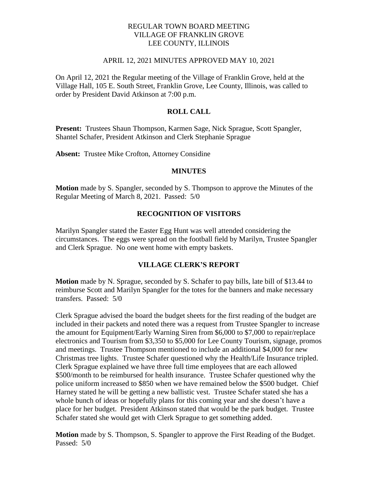### REGULAR TOWN BOARD MEETING VILLAGE OF FRANKLIN GROVE LEE COUNTY, ILLINOIS

#### APRIL 12, 2021 MINUTES APPROVED MAY 10, 2021

On April 12, 2021 the Regular meeting of the Village of Franklin Grove, held at the Village Hall, 105 E. South Street, Franklin Grove, Lee County, Illinois, was called to order by President David Atkinson at 7:00 p.m.

### **ROLL CALL**

**Present:** Trustees Shaun Thompson, Karmen Sage, Nick Sprague, Scott Spangler, Shantel Schafer, President Atkinson and Clerk Stephanie Sprague

**Absent:** Trustee Mike Crofton, Attorney Considine

#### **MINUTES**

**Motion** made by S. Spangler, seconded by S. Thompson to approve the Minutes of the Regular Meeting of March 8, 2021. Passed: 5/0

#### **RECOGNITION OF VISITORS**

Marilyn Spangler stated the Easter Egg Hunt was well attended considering the circumstances. The eggs were spread on the football field by Marilyn, Trustee Spangler and Clerk Sprague. No one went home with empty baskets.

## **VILLAGE CLERK'S REPORT**

**Motion** made by N. Sprague, seconded by S. Schafer to pay bills, late bill of \$13.44 to reimburse Scott and Marilyn Spangler for the totes for the banners and make necessary transfers. Passed: 5/0

Clerk Sprague advised the board the budget sheets for the first reading of the budget are included in their packets and noted there was a request from Trustee Spangler to increase the amount for Equipment/Early Warning Siren from \$6,000 to \$7,000 to repair/replace electronics and Tourism from \$3,350 to \$5,000 for Lee County Tourism, signage, promos and meetings. Trustee Thompson mentioned to include an additional \$4,000 for new Christmas tree lights. Trustee Schafer questioned why the Health/Life Insurance tripled. Clerk Sprague explained we have three full time employees that are each allowed \$500/month to be reimbursed for health insurance. Trustee Schafer questioned why the police uniform increased to \$850 when we have remained below the \$500 budget. Chief Harney stated he will be getting a new ballistic vest. Trustee Schafer stated she has a whole bunch of ideas or hopefully plans for this coming year and she doesn't have a place for her budget. President Atkinson stated that would be the park budget. Trustee Schafer stated she would get with Clerk Sprague to get something added.

**Motion** made by S. Thompson, S. Spangler to approve the First Reading of the Budget. Passed: 5/0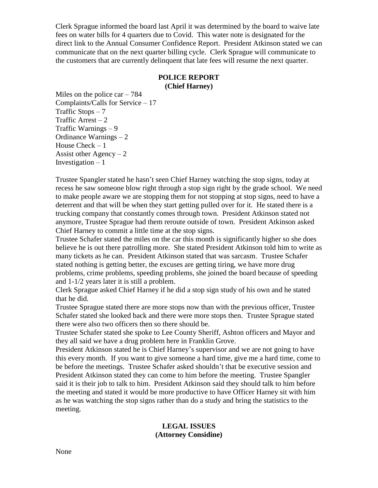Clerk Sprague informed the board last April it was determined by the board to waive late fees on water bills for 4 quarters due to Covid. This water note is designated for the direct link to the Annual Consumer Confidence Report. President Atkinson stated we can communicate that on the next quarter billing cycle. Clerk Sprague will communicate to the customers that are currently delinquent that late fees will resume the next quarter.

### **POLICE REPORT (Chief Harney)**

Miles on the police car  $-784$ Complaints/Calls for Service – 17 Traffic Stops – 7 Traffic Arrest  $-2$ Traffic Warnings – 9 Ordinance Warnings – 2 House Check – 1 Assist other  $Agency - 2$ Investigation  $-1$ 

Trustee Spangler stated he hasn't seen Chief Harney watching the stop signs, today at recess he saw someone blow right through a stop sign right by the grade school. We need to make people aware we are stopping them for not stopping at stop signs, need to have a deterrent and that will be when they start getting pulled over for it. He stated there is a trucking company that constantly comes through town. President Atkinson stated not anymore, Trustee Sprague had them reroute outside of town. President Atkinson asked Chief Harney to commit a little time at the stop signs.

Trustee Schafer stated the miles on the car this month is significantly higher so she does believe he is out there patrolling more. She stated President Atkinson told him to write as many tickets as he can. President Atkinson stated that was sarcasm. Trustee Schafer stated nothing is getting better, the excuses are getting tiring, we have more drug problems, crime problems, speeding problems, she joined the board because of speeding and 1-1/2 years later it is still a problem.

Clerk Sprague asked Chief Harney if he did a stop sign study of his own and he stated that he did.

Trustee Sprague stated there are more stops now than with the previous officer, Trustee Schafer stated she looked back and there were more stops then. Trustee Sprague stated there were also two officers then so there should be.

Trustee Schafer stated she spoke to Lee County Sheriff, Ashton officers and Mayor and they all said we have a drug problem here in Franklin Grove.

President Atkinson stated he is Chief Harney's supervisor and we are not going to have this every month. If you want to give someone a hard time, give me a hard time, come to be before the meetings. Trustee Schafer asked shouldn't that be executive session and President Atkinson stated they can come to him before the meeting. Trustee Spangler said it is their job to talk to him. President Atkinson said they should talk to him before the meeting and stated it would be more productive to have Officer Harney sit with him as he was watching the stop signs rather than do a study and bring the statistics to the meeting.

## **LEGAL ISSUES (Attorney Considine)**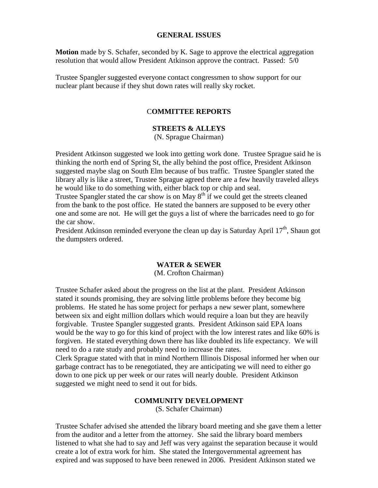#### **GENERAL ISSUES**

**Motion** made by S. Schafer, seconded by K. Sage to approve the electrical aggregation resolution that would allow President Atkinson approve the contract. Passed: 5/0

Trustee Spangler suggested everyone contact congressmen to show support for our nuclear plant because if they shut down rates will really sky rocket.

#### C**OMMITTEE REPORTS**

### **STREETS & ALLEYS**

(N. Sprague Chairman)

President Atkinson suggested we look into getting work done. Trustee Sprague said he is thinking the north end of Spring St, the ally behind the post office, President Atkinson suggested maybe slag on South Elm because of bus traffic. Trustee Spangler stated the library ally is like a street, Trustee Sprague agreed there are a few heavily traveled alleys he would like to do something with, either black top or chip and seal.

Trustee Spangler stated the car show is on May  $8<sup>th</sup>$  if we could get the streets cleaned from the bank to the post office. He stated the banners are supposed to be every other one and some are not. He will get the guys a list of where the barricades need to go for the car show.

President Atkinson reminded everyone the clean up day is Saturday April  $17<sup>th</sup>$ , Shaun got the dumpsters ordered.

### **WATER & SEWER**

(M. Crofton Chairman)

Trustee Schafer asked about the progress on the list at the plant. President Atkinson stated it sounds promising, they are solving little problems before they become big problems. He stated he has some project for perhaps a new sewer plant, somewhere between six and eight million dollars which would require a loan but they are heavily forgivable. Trustee Spangler suggested grants. President Atkinson said EPA loans would be the way to go for this kind of project with the low interest rates and like 60% is forgiven. He stated everything down there has like doubled its life expectancy. We will need to do a rate study and probably need to increase the rates.

Clerk Sprague stated with that in mind Northern Illinois Disposal informed her when our garbage contract has to be renegotiated, they are anticipating we will need to either go down to one pick up per week or our rates will nearly double. President Atkinson suggested we might need to send it out for bids.

#### **COMMUNITY DEVELOPMENT**

(S. Schafer Chairman)

Trustee Schafer advised she attended the library board meeting and she gave them a letter from the auditor and a letter from the attorney. She said the library board members listened to what she had to say and Jeff was very against the separation because it would create a lot of extra work for him. She stated the Intergovernmental agreement has expired and was supposed to have been renewed in 2006. President Atkinson stated we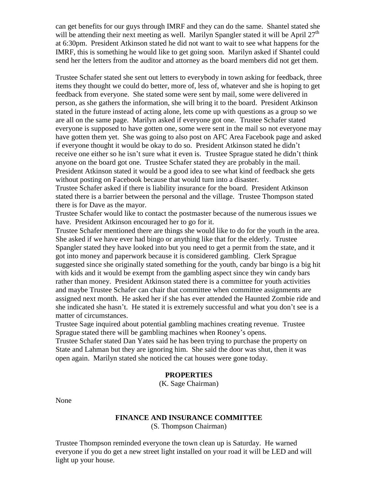can get benefits for our guys through IMRF and they can do the same. Shantel stated she will be attending their next meeting as well. Marilyn Spangler stated it will be April  $27<sup>th</sup>$ at 6:30pm. President Atkinson stated he did not want to wait to see what happens for the IMRF, this is something he would like to get going soon. Marilyn asked if Shantel could send her the letters from the auditor and attorney as the board members did not get them.

Trustee Schafer stated she sent out letters to everybody in town asking for feedback, three items they thought we could do better, more of, less of, whatever and she is hoping to get feedback from everyone. She stated some were sent by mail, some were delivered in person, as she gathers the information, she will bring it to the board. President Atkinson stated in the future instead of acting alone, lets come up with questions as a group so we are all on the same page. Marilyn asked if everyone got one. Trustee Schafer stated everyone is supposed to have gotten one, some were sent in the mail so not everyone may have gotten them yet. She was going to also post on AFC Area Facebook page and asked if everyone thought it would be okay to do so. President Atkinson stated he didn't receive one either so he isn't sure what it even is. Trustee Sprague stated he didn't think anyone on the board got one. Trustee Schafer stated they are probably in the mail. President Atkinson stated it would be a good idea to see what kind of feedback she gets without posting on Facebook because that would turn into a disaster.

Trustee Schafer asked if there is liability insurance for the board. President Atkinson stated there is a barrier between the personal and the village. Trustee Thompson stated there is for Dave as the mayor.

Trustee Schafer would like to contact the postmaster because of the numerous issues we have. President Atkinson encouraged her to go for it.

Trustee Schafer mentioned there are things she would like to do for the youth in the area. She asked if we have ever had bingo or anything like that for the elderly. Trustee Spangler stated they have looked into but you need to get a permit from the state, and it got into money and paperwork because it is considered gambling. Clerk Sprague suggested since she originally stated something for the youth, candy bar bingo is a big hit with kids and it would be exempt from the gambling aspect since they win candy bars rather than money. President Atkinson stated there is a committee for youth activities and maybe Trustee Schafer can chair that committee when committee assignments are assigned next month. He asked her if she has ever attended the Haunted Zombie ride and she indicated she hasn't. He stated it is extremely successful and what you don't see is a matter of circumstances.

Trustee Sage inquired about potential gambling machines creating revenue. Trustee Sprague stated there will be gambling machines when Rooney's opens.

Trustee Schafer stated Dan Yates said he has been trying to purchase the property on State and Lahman but they are ignoring him. She said the door was shut, then it was open again. Marilyn stated she noticed the cat houses were gone today.

### **PROPERTIES**

(K. Sage Chairman)

None

## **FINANCE AND INSURANCE COMMITTEE**

(S. Thompson Chairman)

Trustee Thompson reminded everyone the town clean up is Saturday. He warned everyone if you do get a new street light installed on your road it will be LED and will light up your house.